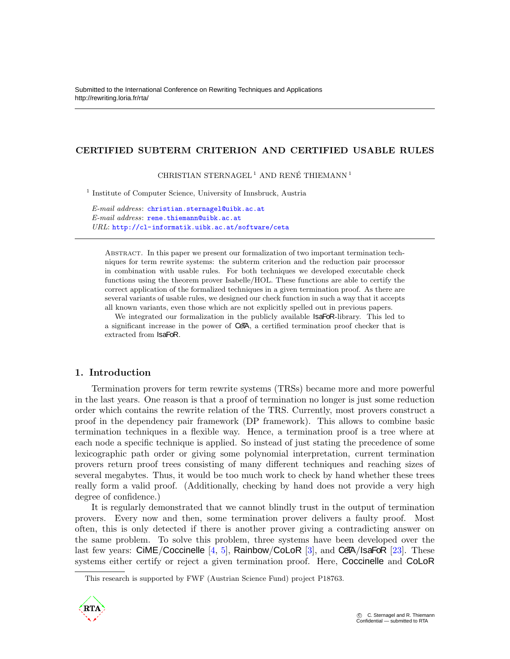# CERTIFIED SUBTERM CRITERION AND CERTIFIED USABLE RULES

CHRISTIAN STERNAGEL<sup>1</sup> AND RENÉ THIEMANN<sup>1</sup>

<sup>1</sup> Institute of Computer Science, University of Innsbruck, Austria

*E-mail address*: <christian.sternagel@uibk.ac.at> *E-mail address*: <rene.thiemann@uibk.ac.at> *URL*: <http://cl-informatik.uibk.ac.at/software/ceta>

Abstract. In this paper we present our formalization of two important termination techniques for term rewrite systems: the subterm criterion and the reduction pair processor in combination with usable rules. For both techniques we developed executable check functions using the theorem prover Isabelle/HOL. These functions are able to certify the correct application of the formalized techniques in a given termination proof. As there are several variants of usable rules, we designed our check function in such a way that it accepts all known variants, even those which are not explicitly spelled out in previous papers.

We integrated our formalization in the publicly available **IsaFoR**-library. This led to a significant increase in the power of CeTA, a certified termination proof checker that is extracted from IsaFoR.

# 1. Introduction

Termination provers for term rewrite systems (TRSs) became more and more powerful in the last years. One reason is that a proof of termination no longer is just some reduction order which contains the rewrite relation of the TRS. Currently, most provers construct a proof in the dependency pair framework (DP framework). This allows to combine basic termination techniques in a flexible way. Hence, a termination proof is a tree where at each node a specific technique is applied. So instead of just stating the precedence of some lexicographic path order or giving some polynomial interpretation, current termination provers return proof trees consisting of many different techniques and reaching sizes of several megabytes. Thus, it would be too much work to check by hand whether these trees really form a valid proof. (Additionally, checking by hand does not provide a very high degree of confidence.)

It is regularly demonstrated that we cannot blindly trust in the output of termination provers. Every now and then, some termination prover delivers a faulty proof. Most often, this is only detected if there is another prover giving a contradicting answer on the same problem. To solve this problem, three systems have been developed over the last few years:  $CIME/Coccinelle [4, 5]$  $CIME/Coccinelle [4, 5]$  $CIME/Coccinelle [4, 5]$  $CIME/Coccinelle [4, 5]$ , Rainbow/CoLoR [\[3\]](#page-15-2), and CeTA/IsaFoR [\[23\]](#page-15-3). These systems either certify or reject a given termination proof. Here, Coccinelle and CoLoR

This research is supported by FWF (Austrian Science Fund) project P18763.

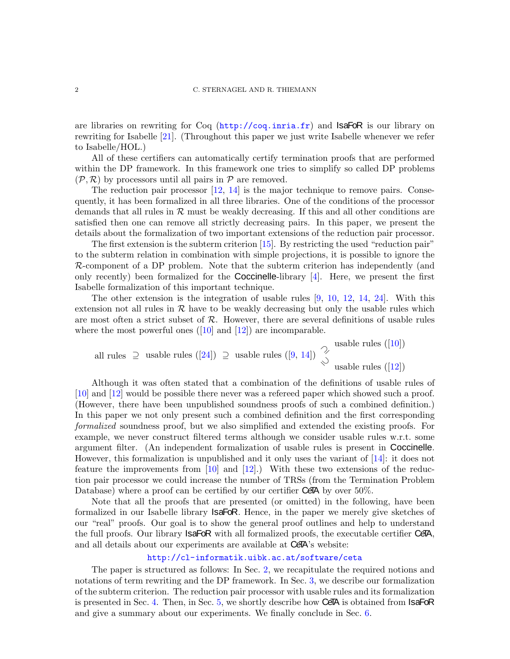are libraries on rewriting for Coq  $(\text{http://coq.inria.fr})$  $(\text{http://coq.inria.fr})$  $(\text{http://coq.inria.fr})$  and **IsaFoR** is our library on rewriting for Isabelle [\[21\]](#page-15-4). (Throughout this paper we just write Isabelle whenever we refer to Isabelle/HOL.)

All of these certifiers can automatically certify termination proofs that are performed within the DP framework. In this framework one tries to simplify so called DP problems  $(\mathcal{P}, \mathcal{R})$  by processors until all pairs in  $\mathcal{P}$  are removed.

The reduction pair processor  $[12, 14]$  $[12, 14]$  is the major technique to remove pairs. Consequently, it has been formalized in all three libraries. One of the conditions of the processor demands that all rules in  $\mathcal R$  must be weakly decreasing. If this and all other conditions are satisfied then one can remove all strictly decreasing pairs. In this paper, we present the details about the formalization of two important extensions of the reduction pair processor.

The first extension is the subterm criterion [\[15\]](#page-15-7). By restricting the used "reduction pair" to the subterm relation in combination with simple projections, it is possible to ignore the  $R$ -component of a DP problem. Note that the subterm criterion has independently (and only recently) been formalized for the **Coccinelle-library**  $[4]$ . Here, we present the first Isabelle formalization of this important technique.

The other extension is the integration of usable rules [\[9,](#page-15-8) [10,](#page-15-9) [12,](#page-15-5) [14,](#page-15-6) [24\]](#page-15-10). With this extension not all rules in  $\mathcal R$  have to be weakly decreasing but only the usable rules which are most often a strict subset of  $R$ . However, there are several definitions of usable rules where the most powerful ones  $([10] \text{ and } [12])$  $([10] \text{ and } [12])$  $([10] \text{ and } [12])$  $([10] \text{ and } [12])$  $([10] \text{ and } [12])$  are incomparable.

all rules  $\supseteq$  usable rules  $([24]) \supseteq$  usable rules  $([9, 14])$  $([9, 14])$  $([9, 14])$  $([9, 14])$  $([9, 14])$ usable rules  $([12])$  $([12])$  $([12])$  $\supseteq$  usable rules ([24])  $\supseteq$  usable rules ([9, 14])  $\supseteq$  usable rules ([\[10\]](#page-15-9))

Although it was often stated that a combination of the definitions of usable rules of [\[10\]](#page-15-9) and [\[12\]](#page-15-5) would be possible there never was a refereed paper which showed such a proof. (However, there have been unpublished soundness proofs of such a combined definition.) In this paper we not only present such a combined definition and the first corresponding *formalized* soundness proof, but we also simplified and extended the existing proofs. For example, we never construct filtered terms although we consider usable rules w.r.t. some argument filter. (An independent formalization of usable rules is present in Coccinelle. However, this formalization is unpublished and it only uses the variant of [\[14\]](#page-15-6): it does not feature the improvements from  $[10]$  and  $[12]$ .) With these two extensions of the reduction pair processor we could increase the number of TRSs (from the Termination Problem Database) where a proof can be certified by our certifier CeTA by over 50%.

Note that all the proofs that are presented (or omitted) in the following, have been formalized in our Isabelle library IsaFoR. Hence, in the paper we merely give sketches of our "real" proofs. Our goal is to show the general proof outlines and help to understand the full proofs. Our library **IsaFoR** with all formalized proofs, the executable certifier CeTA, and all details about our experiments are available at **CeTA**'s website:

### <http://cl-informatik.uibk.ac.at/software/ceta>

The paper is structured as follows: In Sec. [2,](#page-2-0) we recapitulate the required notions and notations of term rewriting and the DP framework. In Sec. [3,](#page-3-0) we describe our formalization of the subterm criterion. The reduction pair processor with usable rules and its formalization is presented in Sec. [4.](#page-6-0) Then, in Sec. [5,](#page-12-0) we shortly describe how CeTA is obtained from **IsaFoR** and give a summary about our experiments. We finally conclude in Sec. [6.](#page-14-0)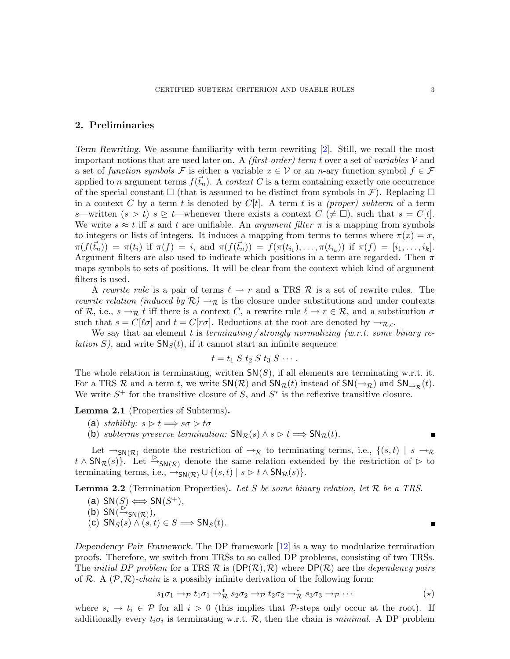## <span id="page-2-0"></span>2. Preliminaries

Term Rewriting. We assume familiarity with term rewriting [\[2\]](#page-15-11). Still, we recall the most important notions that are used later on. A *(first-order) term* t over a set of *variables* V and a set of *function symbols* F is either a variable  $x \in V$  or an n-ary function symbol  $f \in \mathcal{F}$ applied to n argument terms  $f(\vec{t}_n)$ . A *context* C is a term containing exactly one occurrence of the special constant  $\Box$  (that is assumed to be distinct from symbols in  $\mathcal{F}$ ). Replacing  $\Box$ in a context C by a term t is denoted by  $C[t]$ . A term t is a *(proper) subterm* of a term s—written  $(s \triangleright t)$  s  $\triangleright$  t—whenever there exists a context  $C \neq \square$ , such that  $s = C[t]$ . We write  $s \approx t$  iff s and t are unifiable. An *argument filter*  $\pi$  is a mapping from symbols to integers or lists of integers. It induces a mapping from terms to terms where  $\pi(x) = x$ ,  $\pi(f(\vec{t}_n)) = \pi(t_i)$  if  $\pi(f) = i$ , and  $\pi(f(\vec{t}_n)) = f(\pi(t_{i_1}), \dots, \pi(t_{i_k}))$  if  $\pi(f) = [i_1, \dots, i_k].$ Argument filters are also used to indicate which positions in a term are regarded. Then  $\pi$ maps symbols to sets of positions. It will be clear from the context which kind of argument filters is used.

A *rewrite rule* is a pair of terms  $\ell \to r$  and a TRS R is a set of rewrite rules. The *rewrite relation (induced by*  $\mathcal{R}$ )  $\rightarrow_{\mathcal{R}}$  is the closure under substitutions and under contexts of R, i.e.,  $s \to_{\mathcal{R}} t$  iff there is a context C, a rewrite rule  $\ell \to r \in \mathcal{R}$ , and a substitution  $\sigma$ such that  $s = C[\ell \sigma]$  and  $t = C[r\sigma]$ . Reductions at the root are denoted by  $\rightarrow_{\mathcal{R},\epsilon}$ .

We say that an element t is *terminating / strongly normalizing (w.r.t. some binary relation* S), and write  $\mathsf{SN}_S(t)$ , if it cannot start an infinite sequence

$$
t=t_1\ S\ t_2\ S\ t_3\ S\ \cdots.
$$

The whole relation is terminating, written  $\mathsf{SN}(S)$ , if all elements are terminating w.r.t. it. For a TRS R and a term t, we write  $SN(R)$  and  $SN_{\mathcal{R}}(t)$  instead of  $SN(\rightarrow_{\mathcal{R}})$  and  $SN_{\rightarrow_{\mathcal{R}}}(t)$ . We write  $S^+$  for the transitive closure of S, and  $S^*$  is the reflexive transitive closure.

<span id="page-2-6"></span><span id="page-2-4"></span>Lemma 2.1 (Properties of Subterms).

- (a) *stability:*  $s \triangleright t \Longrightarrow s\sigma \triangleright t\sigma$
- (b) *subterms preserve termination:*  $SN_{\mathcal{R}}(s) \wedge s \triangleright t \Longrightarrow SN_{\mathcal{R}}(t)$ .

Let  $\rightarrow_{\mathsf{SN}(\mathcal{R})}$  denote the restriction of  $\rightarrow_{\mathcal{R}}$  to terminating terms, i.e.,  $\{(s,t) | s \rightarrow_{\mathcal{R}} \}$  $t \wedge \mathsf{SN}_{\mathcal{R}}(s)$ . Let  $\overset{\triangleright}{\to}_{\mathsf{SN}(\mathcal{R})}$  denote the same relation extended by the restriction of  $\triangleright$  to terminating terms, i.e.,  $\rightarrow_{SN(\mathcal{R})} \cup \{(s,t) \mid s \triangleright t \wedge SN_{\mathcal{R}}(s)\}.$ 

<span id="page-2-2"></span><span id="page-2-1"></span>Lemma 2.2 (Termination Properties). *Let* S *be some binary relation, let* R *be a TRS.*

<span id="page-2-5"></span>(a)  $SN(S)$   $\Longleftrightarrow$   $SN(S^+)$ *,* 

<span id="page-2-3"></span>(b) 
$$
SN(\overset{\triangleright}{\rightarrow}_{SN(\mathcal{R})}),
$$

 $(\mathbf{c})$  SN<sub>S</sub> $(s) \wedge (s,t) \in S \Longrightarrow$  SN<sub>S</sub> $(t)$ .

Dependency Pair Framework. The DP framework [\[12\]](#page-15-5) is a way to modularize termination proofs. Therefore, we switch from TRSs to so called DP problems, consisting of two TRSs. The *initial DP problem* for a TRS  $\mathcal{R}$  is  $(DP(\mathcal{R}), \mathcal{R})$  where  $DP(\mathcal{R})$  are the *dependency pairs* of R. A  $(\mathcal{P}, \mathcal{R})$ -*chain* is a possibly infinite derivation of the following form:

$$
s_1\sigma_1 \to p t_1\sigma_1 \to_{\mathcal{R}}^* s_2\sigma_2 \to p t_2\sigma_2 \to_{\mathcal{R}}^* s_3\sigma_3 \to p \cdots
$$
 (\*)

where  $s_i \to t_i \in \mathcal{P}$  for all  $i > 0$  (this implies that P-steps only occur at the root). If additionally every  $t_i \sigma_i$  is terminating w.r.t.  $\mathcal{R}$ , then the chain is *minimal*. A DP problem

<span id="page-2-7"></span>п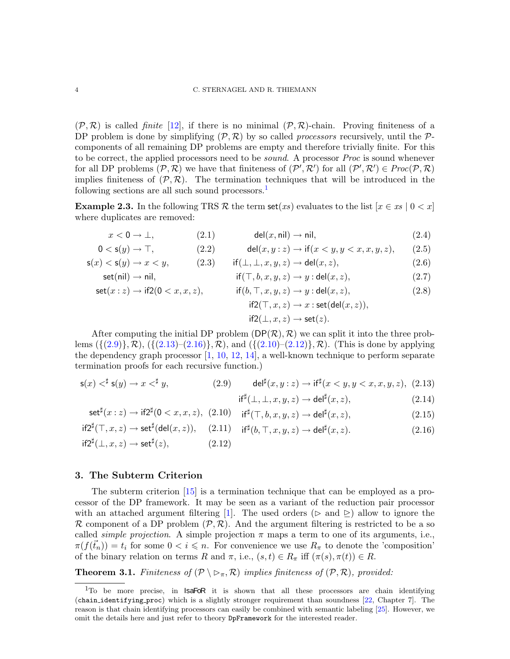$(\mathcal{P}, \mathcal{R})$  is called *finite* [\[12\]](#page-15-5), if there is no minimal  $(\mathcal{P}, \mathcal{R})$ -chain. Proving finiteness of a DP problem is done by simplifying  $(\mathcal{P}, \mathcal{R})$  by so called *processors* recursively, until the  $\mathcal{P}$ components of all remaining DP problems are empty and therefore trivially finite. For this to be correct, the applied processors need to be *sound*. A processor *Proc* is sound whenever for all DP problems  $(\mathcal{P}, \mathcal{R})$  we have that finiteness of  $(\mathcal{P}', \mathcal{R}')$  for all  $(\mathcal{P}', \mathcal{R}') \in \text{Proc}(\mathcal{P}, \mathcal{R})$ implies finiteness of  $(\mathcal{P}, \mathcal{R})$ . The termination techniques that will be introduced in the following sections are all such sound processors. $\frac{1}{1}$  $\frac{1}{1}$  $\frac{1}{1}$ 

<span id="page-3-7"></span>**Example 2.3.** In the following TRS R the term set(*xs*) evaluates to the list  $[x \in xs \mid 0 < x]$ where duplicates are removed:

<span id="page-3-15"></span><span id="page-3-11"></span>
$$
x < 0 \to \bot,
$$
 (2.1)  $\text{del}(x, \text{nil}) \to \text{nil},$  (2.4)

$$
0 < \mathsf{s}(y) \to \top, \tag{2.2} \qquad \qquad \mathsf{del}(x, y : z) \to \mathsf{if}(x < y, y < x, x, y, z), \tag{2.5}
$$

$$
\mathsf{s}(x) < \mathsf{s}(y) \to x < y,\tag{2.3} \qquad \text{if}(\bot, \bot, x, y, z) \to \text{del}(x, z),\tag{2.6}
$$

<span id="page-3-12"></span>
$$
set(nil) \to nil,
$$
\n
$$
if(\top, b, x, y, z) \to y : del(x, z),
$$
\n
$$
(2.7)
$$

$$
set(x:z) \to if2(0 < x, x, z), \qquad \text{if}(b, \top, x, y, z) \to y : \text{del}(x, z),
$$
\n
$$
if2(\top, x, z) \to x : \text{set}(\text{del}(x, z)),
$$
\n
$$
if2(\bot, x, z) \to \text{set}(z).
$$
\n
$$
(2.8)
$$

After computing the initial DP problem  $(DP(\mathcal{R}), \mathcal{R})$  we can split it into the three problems  $({(2.9)}, R)$  $({(2.9)}, R)$  $({(2.9)}, R)$ ,  $({(2.13)}$  $({(2.13)}$  $({(2.13)}$ – $(2.16)$ , R), and  $({(2.10)}$  $({(2.10)}$  $({(2.10)}$ – $(2.12)$ , R). (This is done by applying the dependency graph processor  $[1, 10, 12, 14]$  $[1, 10, 12, 14]$  $[1, 10, 12, 14]$  $[1, 10, 12, 14]$  $[1, 10, 12, 14]$  $[1, 10, 12, 14]$ , a well-known technique to perform separate termination proofs for each recursive function.)

$$
\mathsf{s}(x) \leq^{\sharp} \mathsf{s}(y) \to x \leq^{\sharp} y,\tag{2.9} \qquad \det^{\sharp}(x, y : z) \to \mathrm{i} \mathsf{f}^{\sharp}(x < y, y < x, x, y, z),\tag{2.13}
$$

<span id="page-3-14"></span><span id="page-3-13"></span><span id="page-3-9"></span><span id="page-3-8"></span><span id="page-3-6"></span><span id="page-3-5"></span><span id="page-3-4"></span><span id="page-3-3"></span><span id="page-3-2"></span>
$$
if^{\sharp}(\bot, \bot, x, y, z) \to \mathsf{del}^{\sharp}(x, z), \tag{2.14}
$$

$$
\operatorname{set}^{\sharp}(x:z) \to \operatorname{if2}^{\sharp}(0
$$

$$
\mathsf{if2}^{\sharp}(\top, x, z) \to \mathsf{set}^{\sharp}(\mathsf{del}(x, z)), \quad (2.11) \quad \mathsf{if}^{\sharp}(b, \top, x, y, z) \to \mathsf{del}^{\sharp}(x, z). \tag{2.16}
$$

$$
if2^{\sharp}(\perp, x, z) \to set^{\sharp}(z), \tag{2.12}
$$

## <span id="page-3-0"></span>3. The Subterm Criterion

The subterm criterion [\[15\]](#page-15-7) is a termination technique that can be employed as a processor of the DP framework. It may be seen as a variant of the reduction pair processor with an attached argument filtering [\[1\]](#page-15-12). The used orders ( $\triangleright$  and  $\triangleright$ ) allow to ignore the R component of a DP problem  $(\mathcal{P}, \mathcal{R})$ . And the argument filtering is restricted to be a so called *simple projection*. A simple projection  $\pi$  maps a term to one of its arguments, i.e.,  $\pi(f(\vec{t}_n)) = t_i$  for some  $0 < i \leq n$ . For convenience we use  $R_\pi$  to denote the 'composition' of the binary relation on terms R and  $\pi$ , i.e.,  $(s,t) \in R_{\pi}$  iff  $(\pi(s), \pi(t)) \in R$ .

<span id="page-3-10"></span>**Theorem 3.1.** *Finiteness of*  $(\mathcal{P} \setminus \negthinspace \triangleright_{\pi}, \mathcal{R})$  *implies finiteness of*  $(\mathcal{P}, \mathcal{R})$ *, provided:* 

<span id="page-3-1"></span><sup>&</sup>lt;sup>1</sup>To be more precise, in **IsaFoR** it is shown that all these processors are chain identifying (chain identifying proc) which is a slightly stronger requirement than soundness [\[22,](#page-15-13) Chapter 7]. The reason is that chain identifying processors can easily be combined with semantic labeling [\[25\]](#page-15-14). However, we omit the details here and just refer to theory DpFramework for the interested reader.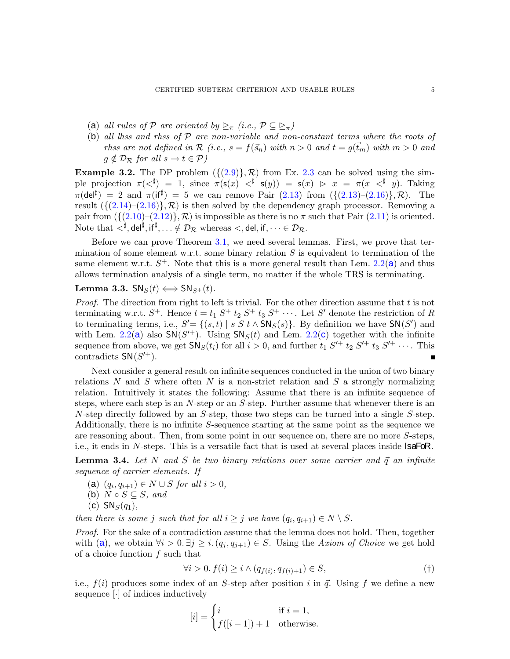- <span id="page-4-7"></span><span id="page-4-6"></span>(a) *all rules of* P *are oriented by*  $\geq_{\pi}$  *(i.e.,*  $\mathcal{P} \subseteq \geq_{\pi}$ )
- (b) *all lhss and rhss of* P *are non-variable and non-constant terms where the roots of rhss are not defined in*  $\mathcal{R}$  *(i.e., s = f(sn) with*  $n > 0$  *and*  $t = q(\vec{t}_m)$  *with*  $m > 0$  *and*  $g \notin \mathcal{D}_{\mathcal{R}}$  *for all*  $s \to t \in \mathcal{P}$ *)*

<span id="page-4-8"></span>**Example 3.2.** The DP problem  $({2.9})$ , R) from Ex. [2.3](#page-3-7) can be solved using the simple projection  $\pi(<^{\sharp}) = 1$ , since  $\pi(\mathsf{s}(x) <^{\sharp} \mathsf{s}(y)) = \mathsf{s}(x) > x = \pi(x <^{\sharp} y)$ . Taking  $\pi$ (del<sup>‡</sup>) = 2 and  $\pi$ (if<sup>‡</sup>) = 5 we can remove Pair [\(2.13\)](#page-3-3) from ({[\(2.13\)](#page-3-3)-[\(2.16\)](#page-3-4)}, R). The result  $({(2.14)–(2.16)}$  $({(2.14)–(2.16)}$  $({(2.14)–(2.16)}$  $({(2.14)–(2.16)}$  $({(2.14)–(2.16)}$ ,  $\mathcal{R})$  is then solved by the dependency graph processor. Removing a pair from  $(\{(2.10)-(2.12)\}, \mathcal{R})$  $(\{(2.10)-(2.12)\}, \mathcal{R})$  $(\{(2.10)-(2.12)\}, \mathcal{R})$  $(\{(2.10)-(2.12)\}, \mathcal{R})$  $(\{(2.10)-(2.12)\}, \mathcal{R})$  is impossible as there is no  $\pi$  such that Pair  $(2.11)$  is oriented. Note that  $\langle \cdot^{\sharp}, \det^{\sharp}, \text{if}^{\sharp}, \ldots \notin \mathcal{D}_{\mathcal{R}}$  whereas  $\langle, \det, \text{if}, \cdots \in \mathcal{D}_{\mathcal{R}} \rangle$ .

Before we can prove Theorem [3.1,](#page-3-10) we need several lemmas. First, we prove that termination of some element w.r.t. some binary relation  $S$  is equivalent to termination of the s[a](#page-2-2)me element w.r.t.  $S^+$ . Note that this is a more general result than Lem. [2.2\(](#page-2-1)a) and thus allows termination analysis of a single term, no matter if the whole TRS is terminating.

## <span id="page-4-3"></span>Lemma 3.3.  $SN_S(t) \iff SN_{S^+}(t)$ .

*Proof.* The direction from right to left is trivial. For the other direction assume that t is not terminating w.r.t.  $S^+$ . Hence  $t = t_1 S^+ t_2 S^+ t_3 S^+ \cdots$ . Let S' denote the restriction of R to terminating terms, i.e.,  $S' = \{(s, t) | s \in S \cup S \cap S(s)\}\$ . By definition we have  $\mathsf{SN}(S')$  and with Lem. [2.2\(](#page-2-1)[a](#page-2-2)) also  $\mathsf{SN}(S'^+)$ . Using  $\mathsf{SN}_S(t)$  and Lem. 2.2([c](#page-2-3)) together with the infinite sequence from above, we get  $SN_S(t_i)$  for all  $i > 0$ , and further  $t_1 S'^+ t_2 S'^+ t_3 S'^+ \cdots$ . This contradicts  $SN(S'^+).$ 

Next consider a general result on infinite sequences conducted in the union of two binary relations N and S where often N is a non-strict relation and S a strongly normalizing relation. Intuitively it states the following: Assume that there is an infinite sequence of steps, where each step is an N-step or an S-step. Further assume that whenever there is an N-step directly followed by an S-step, those two steps can be turned into a single S-step. Additionally, there is no infinite S-sequence starting at the same point as the sequence we are reasoning about. Then, from some point in our sequence on, there are no more S-steps, i.e., it ends in N-steps. This is a versatile fact that is used at several places inside **IsaFoR**.

<span id="page-4-5"></span><span id="page-4-0"></span>**Lemma 3.4.** Let N and S be two binary relations over some carrier and  $\vec{q}$  an infinite *sequence of carrier elements. If*

- <span id="page-4-2"></span>(**a**)  $(q_i, q_{i+1})$  ∈ *N* ∪ *S for all*  $i > 0$ *,*
- <span id="page-4-4"></span>(b)  $N \circ S \subseteq S$ *, and*
- $(c)$  SN<sub>S</sub> $(q_1)$ ,

*then there is some j such that for all*  $i \geq j$  *we have*  $(q_i, q_{i+1}) \in N \setminus S$ *.* 

*Proof.* For the sake of a contradiction assume that the lemma does not hold. Then, together with ([a](#page-4-0)), we obtain  $\forall i > 0$ .  $\exists j \geq i$ .  $(q_i, q_{i+1}) \in S$ . Using the *Axiom of Choice* we get hold of a choice function  $f$  such that

$$
\forall i > 0. \ f(i) \ge i \land (q_{f(i)}, q_{f(i)+1}) \in S,\tag{\dagger}
$$

i.e.,  $f(i)$  produces some index of an S-step after position i in  $\vec{q}$ . Using f we define a new sequence [·] of indices inductively

<span id="page-4-1"></span>
$$
[i] = \begin{cases} i & \text{if } i = 1, \\ f([i-1]) + 1 & \text{otherwise.} \end{cases}
$$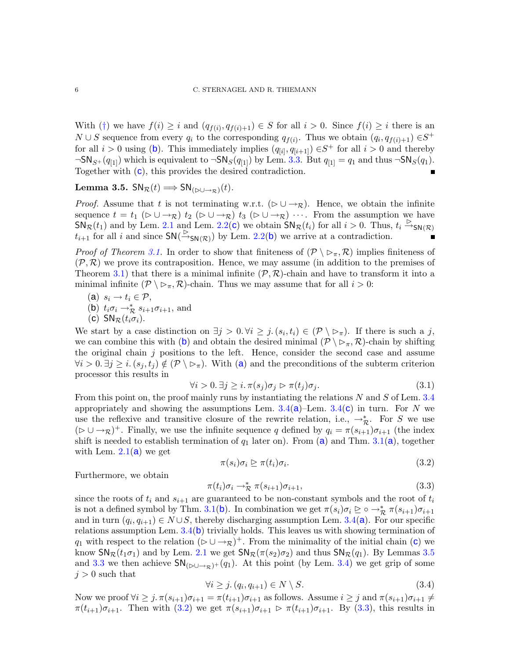With ([†](#page-4-1)) we have  $f(i) \geq i$  and  $(q_{f(i)}, q_{f(i)+1}) \in S$  for all  $i > 0$ . Since  $f(i) \geq i$  there is an  $N \cup S$  sequence from every  $q_i$  to the corresponding  $q_{f(i)}$ . Thus we obtain  $(q_i, q_{f(i)+1}) \in S^+$ for all  $i > 0$  using ([b](#page-4-2)). This immediately implies  $(q_{[i]}, q_{[i+1]}) \in S^+$  for all  $i > 0$  and thereby  $\neg SN_{S}(q_{1})$  which is equivalent to  $\neg SN_S(q_{1})$  by Lem. [3.3.](#page-4-3) But  $q_{11} = q_1$  and thus  $\neg SN_S(q_1)$ . Together with ([c](#page-4-4)), this provides the desired contradiction. п

<span id="page-5-3"></span>Lemma 3.5.  $\mathsf{SN}_{\mathcal{R}}(t) \Longrightarrow \mathsf{SN}_{(\triangleright\cup\rightarrow\mathcal{R})}(t)$ .

*Proof.* Assume that t is not terminating w.r.t. ( $\triangleright \cup \rightarrow_R$ ). Hence, we obtain the infinite sequence  $t = t_1$  ( $\triangleright \cup \rightarrow_R$ )  $t_2$  ( $\triangleright \cup \rightarrow_R$ )  $t_3$  ( $\triangleright \cup \rightarrow_R$ )  $\cdots$ . From the assumption we have  $\overrightarrow{SN}_{\mathcal{R}}(t_1)$  $\overrightarrow{SN}_{\mathcal{R}}(t_1)$  $\overrightarrow{SN}_{\mathcal{R}}(t_1)$  and by Lem. [2.1](#page-2-4) and Lem. [2.2\(](#page-2-1)c) we obtain  $\overrightarrow{SN}_{\mathcal{R}}(t_i)$  for all  $i > 0$ . Thus,  $t_i \stackrel{\triangleright}{\rightarrow}_{\mathsf{SN}(\mathcal{R})}$  $t_{i+1}$  for all i and since  $\mathsf{SN}(\overset{\triangleright}{\rightarrow}_{\mathsf{SN}(\mathcal{R})})$  by Lem. [2.2\(](#page-2-1)[b](#page-2-5)) we arrive at a contradiction. п

*Proof of Theorem [3.1.](#page-3-10)* In order to show that finiteness of  $(\mathcal{P} \setminus \neg \neg, \mathcal{R})$  implies finiteness of  $(\mathcal{P}, \mathcal{R})$  we prove its contraposition. Hence, we may assume (in addition to the premises of Theorem [3.1\)](#page-3-10) that there is a minimal infinite  $(\mathcal{P}, \mathcal{R})$ -chain and have to transform it into a minimal infinite  $(\mathcal{P} \setminus \negthinspace \triangleright_{\pi}, \mathcal{R})$ -chain. Thus we may assume that for all  $i > 0$ :

- <span id="page-5-1"></span><span id="page-5-0"></span>(a)  $s_i \rightarrow t_i \in \mathcal{P}$ ,
- <span id="page-5-2"></span>(b)  $t_i \sigma_i \rightarrow_{\mathcal{R}}^* s_{i+1} \sigma_{i+1}$ , and
- (c)  $SN_{\mathcal{R}}(t_i \sigma_i)$ .

We start by a case distinction on  $\exists j > 0$ .  $\forall i \geq j$ .  $(s_i, t_i) \in (\mathcal{P} \setminus \mathcal{P}_\pi)$ . If there is such a j, we can com[b](#page-5-0)ine this with (b) and obtain the desired minimal  $(\mathcal{P} \setminus \negthinspace \triangleright_{\pi}, \mathcal{R})$ -chain by shifting the original chain  $j$  positions to the left. Hence, consider the second case and assume  $\forall i > 0$  $\forall i > 0$  $\forall i > 0$ .  $\exists j \geq i$ .  $(s_i, t_j) \notin (\mathcal{P} \setminus \rhd_{\pi})$ . With (a) and the preconditions of the subterm criterion processor this results in

<span id="page-5-7"></span>
$$
\forall i > 0. \ \exists j \geq i. \ \pi(s_j)\sigma_j \rhd \pi(t_j)\sigma_j. \tag{3.1}
$$

From this point on, the proof mainly runs by instantiating the relations  $N$  and  $S$  of Lem. [3.4](#page-4-5) [a](#page-4-0)ppropriately and showing the assumptions Lem.  $3.4(a)$  $3.4(a)$ –Lem.  $3.4(c)$  $3.4(c)$  $3.4(c)$  in turn. For N we use the reflexive and transitive closure of the rewrite relation, i.e.,  $\rightarrow_{\mathcal{R}}^*$ . For S we use  $(\triangleright \cup \rightarrow_R)^+$ . Finally, we use the infinite sequence q defined by  $q_i = \pi(s_{i+1})\sigma_{i+1}$  (the index shift is needed to est[a](#page-4-6)blish termination of  $q_1$  later on). From (a) and Thm. [3.1\(](#page-3-10)a), together with Lem.  $2.1(a)$  $2.1(a)$  $2.1(a)$  we get

<span id="page-5-4"></span>
$$
\pi(s_i)\sigma_i \trianglerighteq \pi(t_i)\sigma_i. \tag{3.2}
$$

Furthermore, we obtain

<span id="page-5-5"></span>
$$
\pi(t_i)\sigma_i \to_{\mathcal{R}}^* \pi(s_{i+1})\sigma_{i+1},\tag{3.3}
$$

since the roots of  $t_i$  and  $s_{i+1}$  are guaranteed to be non-constant symbols and the root of  $t_i$ is not a defined symbol by Thm. [3.1\(](#page-3-10)[b](#page-4-7)). In combination we get  $\pi(s_i)\sigma_i \trianglerighteq \circ \to_{\mathcal{R}}^* \pi(s_{i+1})\sigma_{i+1}$ [a](#page-4-0)nd in turn  $(q_i, q_{i+1}) \in N \cup S$ , thereby discharging assumption Lem. [3.4\(](#page-4-5)a). For our specific relations assumption Lem. [3.4\(](#page-4-5)[b](#page-4-2)) trivially holds. This leaves us with showing termination of q<sub>1</sub> with respe[c](#page-5-2)t to the relation ( $\triangleright \cup \rightarrow_{\mathcal{R}}$ )<sup>+</sup>. From the minimality of the initial chain (c) we know  $\mathsf{SN}_{\mathcal{R}}(t_1\sigma_1)$  and by Lem. [2.1](#page-2-4) we get  $\mathsf{SN}_{\mathcal{R}}(\pi(s_2)\sigma_2)$  and thus  $\mathsf{SN}_{\mathcal{R}}(q_1)$ . By Lemmas [3.5](#page-5-3) and [3.3](#page-4-3) we then achieve  $\mathsf{SN}_{(\triangleright\cup\rightarrow\infty)}(q_1)$ . At this point (by Lem. [3.4\)](#page-4-5) we get grip of some  $j > 0$  such that

<span id="page-5-6"></span>
$$
\forall i \ge j. \left( q_i, q_{i+1} \right) \in N \setminus S. \tag{3.4}
$$

Now we proof  $\forall i \geq j$ .  $\pi(s_{i+1})\sigma_{i+1} = \pi(t_{i+1})\sigma_{i+1}$  as follows. Assume  $i \geq j$  and  $\pi(s_{i+1})\sigma_{i+1} \neq j$  $\pi(t_{i+1})\sigma_{i+1}$ . Then with  $(3.2)$  we get  $\pi(s_{i+1})\sigma_{i+1} \triangleright \pi(t_{i+1})\sigma_{i+1}$ . By  $(3.3)$ , this results in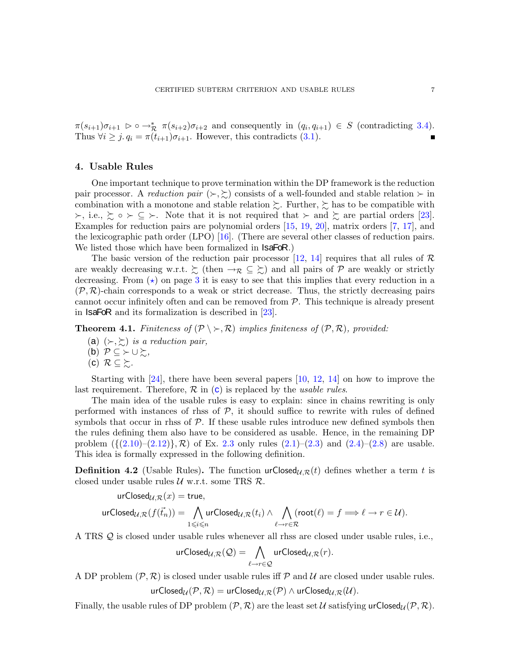$\pi(s_{i+1})\sigma_{i+1} \geq \sigma \rightarrow_{\mathcal{R}}^* \pi(s_{i+2})\sigma_{i+2}$  and consequently in  $(q_i, q_{i+1}) \in S$  (contradicting [3.4\)](#page-5-6). Thus  $\forall i \geq j$ .  $q_i = \pi(t_{i+1})\sigma_{i+1}$ . However, this contradicts [\(3.1\)](#page-5-7).

## <span id="page-6-0"></span>4. Usable Rules

One important technique to prove termination within the DP framework is the reduction pair processor. A *reduction pair*  $(\succ,\succsim)$  consists of a well-founded and stable relation  $\succ$  in combination with a monotone and stable relation  $\succsim$ . Further,  $\succsim$  has to be compatible with  $\succ$ , i.e.,  $\succsim \circ \succ \subseteq \succ$ . Note that it is not required that  $\succ$  and  $\succsim$  are partial orders [\[23\]](#page-15-3). Examples for reduction pairs are polynomial orders [\[15,](#page-15-7) [19,](#page-15-15) [20\]](#page-15-16), matrix orders [\[7,](#page-15-17) [17\]](#page-15-18), and the lexicographic path order (LPO) [\[16\]](#page-15-19). (There are several other classes of reduction pairs. We listed those which have been formalized in **IsaFoR**.)

The basic version of the reduction pair processor [\[12,](#page-15-5) [14\]](#page-15-6) requires that all rules of  $\mathcal R$ are weakly decreasing w.r.t.  $\gtrsim$  (then  $\rightarrow_{\mathcal{R}} \subseteq \gtrsim$ ) and all pairs of  $\mathcal P$  are weakly or strictly decreasing. From  $(\star)$  on page [3](#page-2-7) it is easy to see that this implies that every reduction in a  $(\mathcal{P}, \mathcal{R})$ -chain corresponds to a weak or strict decrease. Thus, the strictly decreasing pairs cannot occur infinitely often and can be removed from  $P$ . This technique is already present in IsaFoR and its formalization is described in [\[23\]](#page-15-3).

<span id="page-6-3"></span>**Theorem 4.1.** *Finiteness of*  $(\mathcal{P} \setminus \succ, \mathcal{R})$  *implies finiteness of*  $(\mathcal{P}, \mathcal{R})$ *, provided:* 

- (a)  $(\succ, \succ)$  *is a reduction pair,*
- <span id="page-6-1"></span>(b) P ⊆ ≻ ∪ %*,*
- $(c)$   $\mathcal{R} \subseteq \sum$ .

Starting with [\[24\]](#page-15-10), there have been several papers [\[10,](#page-15-9) [12,](#page-15-5) [14\]](#page-15-6) on how to improve the last requirement. Therefore,  $\mathcal{R}$  $\mathcal{R}$  $\mathcal{R}$  in  $(c)$  is replaced by the *usable rules*.

The main idea of the usable rules is easy to explain: since in chains rewriting is only performed with instances of rhss of  $P$ , it should suffice to rewrite with rules of defined symbols that occur in rhss of  $P$ . If these usable rules introduce new defined symbols then the rules defining them also have to be considered as usable. Hence, in the remaining DP problem  $({(2.10)–(2.12)}, \mathcal{R})$  $({(2.10)–(2.12)}, \mathcal{R})$  $({(2.10)–(2.12)}, \mathcal{R})$  $({(2.10)–(2.12)}, \mathcal{R})$  $({(2.10)–(2.12)}, \mathcal{R})$  of Ex. [2.3](#page-3-7) only rules  $(2.1)–(2.3)$  $(2.1)–(2.3)$  and  $(2.4)–(2.8)$  $(2.4)–(2.8)$  are usable. This idea is formally expressed in the following definition.

<span id="page-6-2"></span>**Definition 4.2** (Usable Rules). The function  $urClosed_{\mathcal{U},\mathcal{R}}(t)$  defines whether a term t is closed under usable rules  $U$  w.r.t. some TRS  $R$ .

$$
\begin{array}{l} \mathsf{urClosed}_{\mathcal{U},\mathcal{R}}(x) = \mathsf{true},\\ \mathsf{urClosed}_{\mathcal{U},\mathcal{R}}(f(\vec{t}_n)) = \bigwedge_{1\leqslant i\leqslant n} \mathsf{urClosed}_{\mathcal{U},\mathcal{R}}(t_i) \wedge \bigwedge_{\ell\to r\in \mathcal{R}} (\mathsf{root}(\ell) = f \Longrightarrow \ell\to r\in \mathcal{U}). \end{array}
$$

A TRS Q is closed under usable rules whenever all rhss are closed under usable rules, i.e.,

$$
\text{urClosed}_{\mathcal{U},\mathcal{R}}(\mathcal{Q})=\bigwedge_{\ell\rightarrow r\in\mathcal{Q}}\text{urClosed}_{\mathcal{U},\mathcal{R}}(r).
$$

A DP problem  $(\mathcal{P}, \mathcal{R})$  is closed under usable rules iff  $\mathcal{P}$  and  $\mathcal{U}$  are closed under usable rules. urClosed $U(\mathcal{P}, \mathcal{R}) = \text{urClosed}_{U, \mathcal{R}}(\mathcal{P}) \wedge \text{urClosed}_{U, \mathcal{R}}(\mathcal{U}).$ 

Finally, the usable rules of DP problem  $(\mathcal{P}, \mathcal{R})$  are the least set U satisfying urClosed<sub>U</sub> $(\mathcal{P}, \mathcal{R})$ .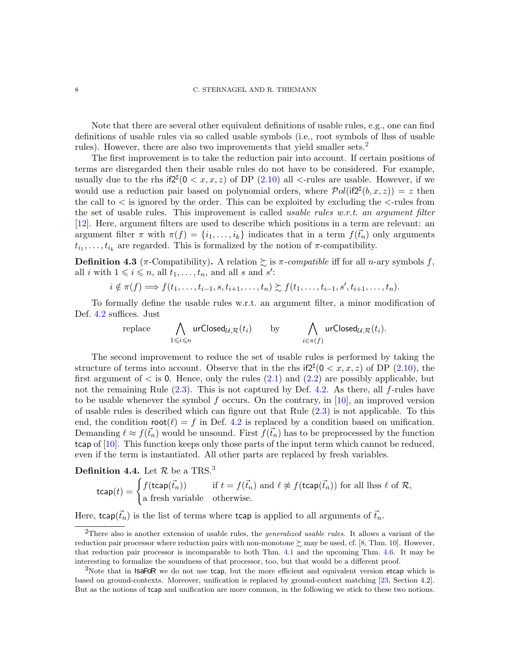#### 8 C. STERNAGEL AND R. THIEMANN

Note that there are several other equivalent definitions of usable rules, e.g., one can find definitions of usable rules via so called usable symbols (i.e., root symbols of lhss of usable rules). However, there are also two improvements that yield smaller sets.<sup>[2](#page-7-0)</sup>

The first improvement is to take the reduction pair into account. If certain positions of terms are disregarded then their usable rules do not have to be considered. For example, usually due to the rhs if  $2^{\sharp}(0 < x, x, z)$  of DP  $(2.10)$  all  $\lt$ -rules are usable. However, if we would use a reduction pair based on polynomial orders, where  $Pol(i\mathbf{f2}^{\sharp}(b,x,z)) = z$  then the call to  $\lt$  is ignored by the order. This can be exploited by excluding the  $\lt$ -rules from the set of usable rules. This improvement is called *usable rules w.r.t. an argument filter* [\[12\]](#page-15-5). Here, argument filters are used to describe which positions in a term are relevant: an argument filter  $\pi$  with  $\pi(f) = \{i_1, \ldots, i_k\}$  indicates that in a term  $f(\vec{t}_n)$  only arguments  $t_{i_1}, \ldots, t_{i_k}$  are regarded. This is formalized by the notion of  $\pi$ -compatibility.

**Definition 4.3** ( $\pi$ -Compatibility). A relation  $\geq$  is  $\pi$ -compatible iff for all n-ary symbols f, all *i* with  $1 \leq i \leq n$ , all  $t_1, \ldots, t_n$ , and all *s* and *s'*:

$$
i \notin \pi(f) \Longrightarrow f(t_1,\ldots,t_{i-1},s,t_{i+1},\ldots,t_n) \succsim f(t_1,\ldots,t_{i-1},s',t_{i+1},\ldots,t_n).
$$

To formally define the usable rules w.r.t. an argument filter, a minor modification of Def. [4.2](#page-6-2) suffices. Just

replace 
$$
\bigwedge_{1 \leq i \leq n} \text{urClosed}_{\mathcal{U},\mathcal{R}}(t_i)
$$
 by  $\bigwedge_{i \in \pi(f)} \text{urClosed}_{\mathcal{U},\mathcal{R}}(t_i)$ .

The second improvement to reduce the set of usable rules is performed by taking the structure of terms into account. Observe that in the rhs  $if2^{\sharp}(0 < x, x, z)$  of DP  $(2.10)$ , the first argument of  $\lt$  is 0. Hence, only the rules  $(2.1)$  and  $(2.2)$  are possibly applicable, but not the remaining Rule  $(2.3)$ . This is not captured by Def. [4.2.](#page-6-2) As there, all f-rules have to be usable whenever the symbol  $f$  occurs. On the contrary, in [\[10\]](#page-15-9), an improved version of usable rules is described which can figure out that Rule [\(2.3\)](#page-3-12) is not applicable. To this end, the condition  $\text{root}(\ell) = f$  in Def. [4.2](#page-6-2) is replaced by a condition based on unification. Demanding  $\ell \approx f(\vec{t}_n)$  would be unsound. First  $f(\vec{t}_n)$  has to be preprocessed by the function tcap of [\[10\]](#page-15-9). This function keeps only those parts of the input term which cannot be reduced, even if the term is instantiated. All other parts are replaced by fresh variables.

**Definition 4.4.** Let  $\mathcal{R}$  be a TRS.<sup>[3](#page-7-1)</sup>

$$
\text{tcap}(t) = \begin{cases} f(\text{tcap}(\vec{t}_n)) & \text{if } t = f(\vec{t}_n) \text{ and } \ell \not\approx f(\text{tcap}(\vec{t}_n)) \text{ for all lhss } \ell \text{ of } \mathcal{R}, \\ \text{a fresh variable} & \text{otherwise.} \end{cases}
$$

Here,  $\text{tcap}(\vec{t}_n)$  is the list of terms where  $\text{tcap}$  is applied to all arguments of  $\vec{t}_n$ .

<span id="page-7-0"></span><sup>2</sup>There also is another extension of usable rules, the *generalized usable rules*. It allows a variant of the reduction pair processor where reduction pairs with non-monotone  $\gtrsim$  may be used, cf. [\[8,](#page-15-20) Thm. 10]. However, that reduction pair processor is incomparable to both Thm. [4.1](#page-6-3) and the upcoming Thm. [4.6.](#page-8-0) It may be interesting to formalize the soundness of that processor, too, but that would be a different proof.

<span id="page-7-1"></span> $3$ Note that in **IsaFoR** we do not use tcap, but the more efficient and equivalent version etcap which is based on ground-contexts. Moreover, unification is replaced by ground-context matching [\[23,](#page-15-3) Section 4.2]. But as the notions of tcap and unification are more common, in the following we stick to these two notions.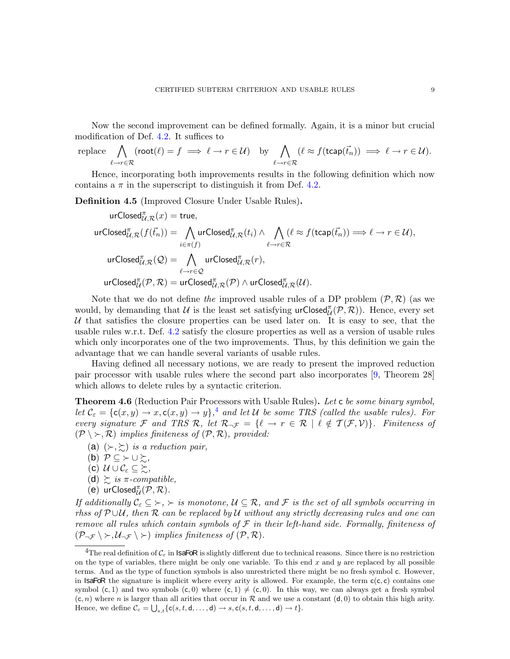Now the second improvement can be defined formally. Again, it is a minor but crucial modification of Def. [4.2.](#page-6-2) It suffices to

replace 
$$
\bigwedge_{\ell \to r \in \mathcal{R}} (\text{root}(\ell) = f \implies \ell \to r \in \mathcal{U})
$$
 by  $\bigwedge_{\ell \to r \in \mathcal{R}} (\ell \approx f(\text{tcap}(\vec{t}_n)) \implies \ell \to r \in \mathcal{U}).$ 

Hence, incorporating both improvements results in the following definition which now contains a  $\pi$  in the superscript to distinguish it from Def. [4.2.](#page-6-2)

Definition 4.5 (Improved Closure Under Usable Rules).

$$
\begin{aligned} &\text{urClosed}_{\mathcal{U},\mathcal{R}}^{\pi}(x) = \text{true}, \\ &\text{urClosed}_{\mathcal{U},\mathcal{R}}^{\pi}(f(\vec{t}_n)) = \bigwedge_{i \in \pi(f)} \text{urClosed}_{\mathcal{U},\mathcal{R}}^{\pi}(t_i) \wedge \bigwedge_{\ell \to r \in \mathcal{R}} (\ell \approx f(\text{tcap}(\vec{t}_n)) \Longrightarrow \ell \to r \in \mathcal{U}), \\ &\text{urClosed}_{\mathcal{U},\mathcal{R}}^{\pi}(\mathcal{Q}) = \bigwedge_{\ell \to r \in \mathcal{Q}} \text{urClosed}_{\mathcal{U},\mathcal{R}}^{\pi}(r), \\ &\text{urClosed}_{\mathcal{U}}^{\pi}(\mathcal{P},\mathcal{R}) = \text{urClosed}_{\mathcal{U},\mathcal{R}}^{\pi}(\mathcal{P}) \wedge \text{urClosed}_{\mathcal{U},\mathcal{R}}^{\pi}(\mathcal{U}). \end{aligned}
$$

Note that we do not define *the* improved usable rules of a DP problem  $(\mathcal{P}, \mathcal{R})$  (as we would, by demanding that  $U$  is the least set satisfying  $\mathsf{urClosed}^{\pi}_{\mathcal{U}}(\mathcal{P},\mathcal{R})$ ). Hence, every set U that satisfies the closure properties can be used later on. It is easy to see, that the usable rules w.r.t. Def. [4.2](#page-6-2) satisfy the closure properties as well as a version of usable rules which only incorporates one of the two improvements. Thus, by this definition we gain the advantage that we can handle several variants of usable rules.

Having defined all necessary notions, we are ready to present the improved reduction pair processor with usable rules where the second part also incorporates [\[9,](#page-15-8) Theorem 28] which allows to delete rules by a syntactic criterion.

<span id="page-8-0"></span>Theorem 4.6 (Reduction Pair Processors with Usable Rules). *Let* c *be some binary symbol, let*  $\mathcal{C}_{\varepsilon} = {\mathbf{c}(x, y) \rightarrow x, \mathbf{c}(x, y) \rightarrow y}$ ,<sup>[4](#page-8-1)</sup> and let U be some TRS (called the usable rules). For *every signature* F and TRS R, let  $\mathcal{R}_{\neg \mathcal{F}} = \{ \ell \to r \in \mathcal{R} \mid \ell \notin \mathcal{T}(\mathcal{F}, \mathcal{V}) \}.$  Finiteness of  $(\mathcal{P} \setminus \succ, \mathcal{R})$  *implies finiteness of*  $(\mathcal{P}, \mathcal{R})$ *, provided:* 

- (a)  $(\succ, \succcurlyeq)$  *is a reduction pair,*
- <span id="page-8-2"></span>(b) P ⊆ ≻ ∪ %*,*
- <span id="page-8-3"></span> $(c)$   $\mathcal{U} \cup \mathcal{C}_{\varepsilon} \subseteq \succsim$
- <span id="page-8-4"></span>(d)  $\gtrsim$  *is*  $\pi$ *-compatible,*
- (e)  $\text{urClosed}_{\mathcal{U}}^{\pi}(\mathcal{P}, \mathcal{R})$ .

*If additionally*  $C_{\varepsilon} \subseteq \succ, \succ$  *is monotone,*  $\mathcal{U} \subseteq \mathcal{R}$ *, and*  $\mathcal{F}$  *is the set of all symbols occurring in rhss of* P ∪U*, then* R *can be replaced by* U *without any strictly decreasing rules and one can remove all rules which contain symbols of* F *in their left-hand side. Formally, finiteness of*  $(\mathcal{P}_{\neg \mathcal{F}} \setminus \succ, \mathcal{U}_{\neg \mathcal{F}} \setminus \succ)$  *implies finiteness of*  $(\mathcal{P}, \mathcal{R})$ *.* 

<span id="page-8-1"></span><sup>&</sup>lt;sup>4</sup>The real definition of  $C_\varepsilon$  in **IsaFoR** is slightly different due to technical reasons. Since there is no restriction on the type of variables, there might be only one variable. To this end x and y are replaced by all possible terms. And as the type of function symbols is also unrestricted there might be no fresh symbol c. However, in IsaFoR the signature is implicit where every arity is allowed. For example, the term  $c(c, c)$  contains one symbol (c, 1) and two symbols  $(c, 0)$  where  $(c, 1) \neq (c, 0)$ . In this way, we can always get a fresh symbol  $(c, n)$  where n is larger than all arities that occur in R and we use a constant  $(d, 0)$  to obtain this high arity. Hence, we define  $\mathcal{C}_{\varepsilon} = \bigcup_{s,t} \{ \mathsf{c}(s,t,\mathsf{d},\ldots,\mathsf{d}) \to s, \mathsf{c}(s,t,\mathsf{d},\ldots,\mathsf{d}) \to t \}.$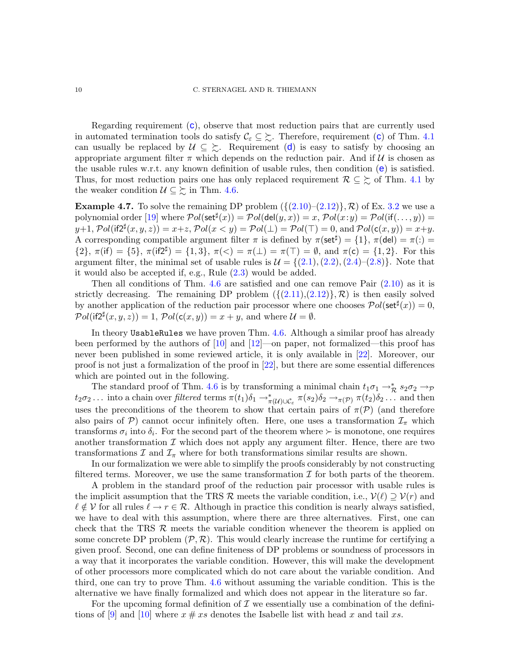Regarding requirement  $(c)$  $(c)$  $(c)$ , observe that most reduction pairs that are currently used in automated termination tools do satisfy  $\mathcal{C}_{\varepsilon} \subseteq \Sigma$  $\mathcal{C}_{\varepsilon} \subseteq \Sigma$  $\mathcal{C}_{\varepsilon} \subseteq \Sigma$ . Therefore, requirement (c) of Thm. [4.1](#page-6-3) can usually be replace[d](#page-8-3) by  $\mathcal{U} \subseteq \Sigma$ . Requirement (d) is easy to satisfy by choosing an appropriate argument filter  $\pi$  which depends on the reduction pair. And if  $\mathcal{U}$  is chosen as th[e](#page-8-4) usable rules w.r.t. any known definition of usable rules, then condition  $(e)$  is satisfied. Thus, for most reduction pairs one has only replaced requirement  $\mathcal{R} \subseteq \Sigma$  of Thm. [4.1](#page-6-3) by the weaker condition  $\mathcal{U} \subseteq \Sigma$  in Thm. [4.6.](#page-8-0)

**Example 4.7.** To solve the remaining DP problem  $({(2.10)–(2.12)}$  $({(2.10)–(2.12)}$  $({(2.10)–(2.12)}$  $({(2.10)–(2.12)}$  $({(2.10)–(2.12)}$ ,  $\mathcal{R})$  of Ex. [3.2](#page-4-8) we use a polynomial order  $[19]$  where  $\mathcal Pol(\mathsf{set}^\sharp(x)) = \mathcal Pol(\mathsf{del}(y,x)) = x, \mathcal Pol(x\mathpunct{:}y) = \mathcal Pol(\mathsf{if}(\dots,y)) =$  $y+1, \mathcal{P}ol(\text{if}2^{\sharp}(x,y,z)) = x+z, \mathcal{P}ol(x < y) = \mathcal{P}ol(\bot) = \mathcal{P}ol(\top) = 0, \text{ and } \mathcal{P}ol(\mathsf{c}(x,y)) = x+y.$ A corresponding compatible argument filter  $\pi$  is defined by  $\pi(\text{set}^{\sharp}) = \{1\}, \pi(\text{del}) = \pi(.) =$  ${2}, \pi(\text{if}) = {5}, \pi(\text{if}2^{\sharp}) = {1, 3}, \pi(<) = \pi(\bot) = \pi(\top) = \emptyset, \text{ and } \pi(c) = {1, 2}.$  For this argument filter, the minimal set of usable rules is  $\mathcal{U} = \{(2.1), (2.2), (2.4)–(2.8)\}\.$  $\mathcal{U} = \{(2.1), (2.2), (2.4)–(2.8)\}\.$  $\mathcal{U} = \{(2.1), (2.2), (2.4)–(2.8)\}\.$  $\mathcal{U} = \{(2.1), (2.2), (2.4)–(2.8)\}\.$  $\mathcal{U} = \{(2.1), (2.2), (2.4)–(2.8)\}\.$  $\mathcal{U} = \{(2.1), (2.2), (2.4)–(2.8)\}\.$  $\mathcal{U} = \{(2.1), (2.2), (2.4)–(2.8)\}\.$  $\mathcal{U} = \{(2.1), (2.2), (2.4)–(2.8)\}\.$  $\mathcal{U} = \{(2.1), (2.2), (2.4)–(2.8)\}\.$  Note that it would also be accepted if, e.g., Rule [\(2.3\)](#page-3-12) would be added.

Then all conditions of Thm.  $4.6$  are satisfied and one can remove Pair  $(2.10)$  as it is strictly decreasing. The remaining DP problem  $({(2.11),(2.12)}\mathcal{R})$  $({(2.11),(2.12)}\mathcal{R})$  $({(2.11),(2.12)}\mathcal{R})$  $({(2.11),(2.12)}\mathcal{R})$  $({(2.11),(2.12)}\mathcal{R})$  is then easily solved by another application of the reduction pair processor where one chooses  $Pol(\text{set}^{\sharp}(x)) = 0$ ,  $Pol(\text{if2}^{\sharp}(x,y,z)) = 1, Pol(\text{c}(x,y)) = x + y$ , and where  $\mathcal{U} = \emptyset$ .

In theory UsableRules we have proven Thm. [4.6.](#page-8-0) Although a similar proof has already been performed by the authors of [\[10\]](#page-15-9) and [\[12\]](#page-15-5)—on paper, not formalized—this proof has never been published in some reviewed article, it is only available in [\[22\]](#page-15-13). Moreover, our proof is not just a formalization of the proof in [\[22\]](#page-15-13), but there are some essential differences which are pointed out in the following.

The standard proof of Thm. [4.6](#page-8-0) is by transforming a minimal chain  $t_1\sigma_1 \rightarrow_{\mathcal{R}}^* s_2\sigma_2 \rightarrow_{\mathcal{P}}$  $t_2\sigma_2\dots$  into a chain over *filtered* terms  $\pi(t_1)\delta_1 \to_{\pi(\mathcal{U}) \cup \mathcal{C}_{\varepsilon}}^* \pi(s_2)\delta_2 \to_{\pi(\mathcal{P})}^* \pi(t_2)\delta_2\dots$  and then uses the preconditions of the theorem to show that certain pairs of  $\pi(\mathcal{P})$  (and therefore also pairs of P) cannot occur infinitely often. Here, one uses a transformation  $\mathcal{I}_{\pi}$  which transforms  $\sigma_i$  into  $\delta_i$ . For the second part of the theorem where  $\succ$  is monotone, one requires another transformation  $\mathcal I$  which does not apply any argument filter. Hence, there are two transformations  $\mathcal I$  and  $\mathcal I_\pi$  where for both transformations similar results are shown.

In our formalization we were able to simplify the proofs considerably by not constructing filtered terms. Moreover, we use the same transformation  $\mathcal I$  for both parts of the theorem.

A problem in the standard proof of the reduction pair processor with usable rules is the implicit assumption that the TRS R meets the variable condition, i.e.,  $\mathcal{V}(\ell) \supseteq \mathcal{V}(r)$  and  $\ell \notin V$  for all rules  $\ell \to r \in \mathcal{R}$ . Although in practice this condition is nearly always satisfied, we have to deal with this assumption, where there are three alternatives. First, one can check that the TRS  $\mathcal R$  meets the variable condition whenever the theorem is applied on some concrete DP problem  $(\mathcal{P}, \mathcal{R})$ . This would clearly increase the runtime for certifying a given proof. Second, one can define finiteness of DP problems or soundness of processors in a way that it incorporates the variable condition. However, this will make the development of other processors more complicated which do not care about the variable condition. And third, one can try to prove Thm. [4.6](#page-8-0) without assuming the variable condition. This is the alternative we have finally formalized and which does not appear in the literature so far.

For the upcoming formal definition of  $\mathcal I$  we essentially use a combination of the defini-tions of [\[9\]](#page-15-8) and [\[10\]](#page-15-9) where  $x \neq xs$  denotes the Isabelle list with head x and tail xs.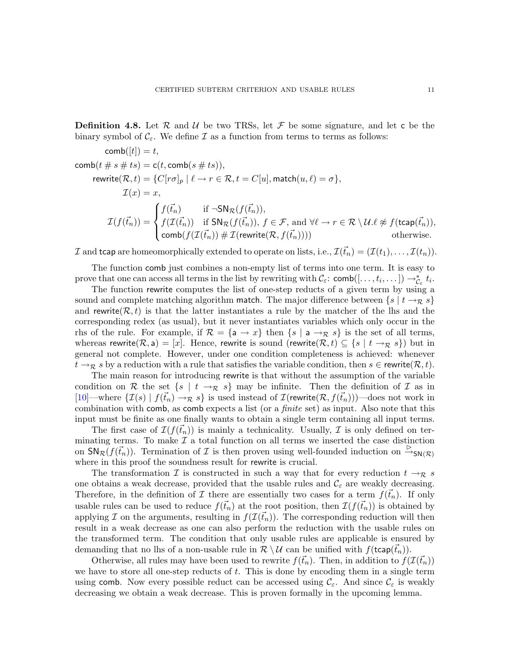**Definition 4.8.** Let R and U be two TRSs, let F be some signature, and let c be the binary symbol of  $\mathcal{C}_{\varepsilon}$ . We define  $\mathcal I$  as a function from terms to terms as follows:

$$
comb([t]) = t,
$$
\n
$$
comb(t \# s \# ts) = c(t, comb(s \# ts)),
$$
\n
$$
rewrite(R, t) = \{C[ro]_p | \ell \to r \in \mathcal{R}, t = C[u], match(u, \ell) = \sigma\},
$$
\n
$$
\mathcal{I}(x) = x,
$$
\n
$$
\mathcal{I}(f(\vec{t}_n)) = \begin{cases}\nf(\vec{t}_n) & \text{if } \neg SN_{\mathcal{R}}(f(\vec{t}_n)), \\
f(\mathcal{I}(\vec{t}_n)) & \text{if } SN_{\mathcal{R}}(f(\vec{t}_n)), f \in \mathcal{F}, \text{ and } \forall \ell \to r \in \mathcal{R} \setminus \mathcal{U}.\ell \not\approx f(\text{trap}(\vec{t}_n)), \\
 comb(f(\mathcal{I}(\vec{t}_n)) \# \mathcal{I}(\text{rewrite}(\mathcal{R}, f(\vec{t}_n))))) & \text{otherwise.} \n\end{cases}
$$

I and tcap are homeomorphically extended to operate on lists, i.e.,  $\mathcal{I}(\vec{t}_n) = (\mathcal{I}(t_1), \ldots, \mathcal{I}(t_n)).$ 

The function comb just combines a non-empty list of terms into one term. It is easy to prove that one can access all terms in the list by rewriting with  $\mathcal{C}_{\varepsilon}$ : comb $([- \ldots, t_i, \ldots]) \to_{\mathcal{C}_{\varepsilon}}^* t_i$ .

The function rewrite computes the list of one-step reducts of a given term by using a sound and complete matching algorithm match. The major difference between  $\{s \mid t \to \mathcal{R} \}$ and rewrite  $(\mathcal{R}, t)$  is that the latter instantiates a rule by the matcher of the lhs and the corresponding redex (as usual), but it never instantiates variables which only occur in the rhs of the rule. For example, if  $\mathcal{R} = \{a \rightarrow x\}$  then  $\{s \mid a \rightarrow \mathcal{R} \}$  is the set of all terms, whereas rewrite( $\mathcal{R}, a$ ) = [x]. Hence, rewrite is sound (rewrite( $\mathcal{R}, t$ )  $\subseteq$  {s | t  $\rightarrow_{\mathcal{R}} s$ }) but in general not complete. However, under one condition completeness is achieved: whenever  $t \to_R s$  by a reduction with a rule that satisfies the variable condition, then  $s \in \text{rewrite}(\mathcal{R}, t)$ .

The main reason for introducing rewrite is that without the assumption of the variable condition on R the set  $\{s \mid t \to \mathcal{R} \}$  may be infinite. Then the definition of I as in  $[10]$ —where  $\{\mathcal{I}(s) \mid f(\vec{t}_n) \to_{\mathcal{R}} s\}$  is used instead of  $\mathcal{I}(r)$  rewrite $(\mathcal{R}, f(\vec{t}_n))$  —does not work in combination with comb, as comb expects a list (or a *finite* set) as input. Also note that this input must be finite as one finally wants to obtain a single term containing all input terms.

The first case of  $\mathcal{I}(f(\vec{t}_n))$  is mainly a technicality. Usually,  $\mathcal I$  is only defined on terminating terms. To make  $\mathcal I$  a total function on all terms we inserted the case distinction on  $\textsf{SN}_{\mathcal{R}}(f(\vec{t}_n))$ . Termination of  $\mathcal I$  is then proven using well-founded induction on  $\stackrel{\triangleright}{\rightarrow}_{\textsf{SN}(\mathcal{R})}$ where in this proof the soundness result for rewrite is crucial.

The transformation I is constructed in such a way that for every reduction  $t \to_R s$ one obtains a weak decrease, provided that the usable rules and  $\mathcal{C}_{\varepsilon}$  are weakly decreasing. Therefore, in the definition of I there are essentially two cases for a term  $f(\vec{t}_n)$ . If only usable rules can be used to reduce  $f(\vec{t}_n)$  at the root position, then  $\mathcal{I}(f(\vec{t}_n))$  is obtained by applying I on the arguments, resulting in  $f(\mathcal{I}(\vec{t}_n))$ . The corresponding reduction will then result in a weak decrease as one can also perform the reduction with the usable rules on the transformed term. The condition that only usable rules are applicable is ensured by demanding that no lhs of a non-usable rule in  $\mathcal{R} \setminus \mathcal{U}$  can be unified with  $f(\mathsf{tcap}(\vec{t}_n))$ .

Otherwise, all rules may have been used to rewrite  $f(\vec{t}_n)$ . Then, in addition to  $f(\mathcal{I}(\vec{t}_n))$ we have to store all one-step reducts of  $t$ . This is done by encoding them in a single term using comb. Now every possible reduct can be accessed using  $\mathcal{C}_{\varepsilon}$ . And since  $\mathcal{C}_{\varepsilon}$  is weakly decreasing we obtain a weak decrease. This is proven formally in the upcoming lemma.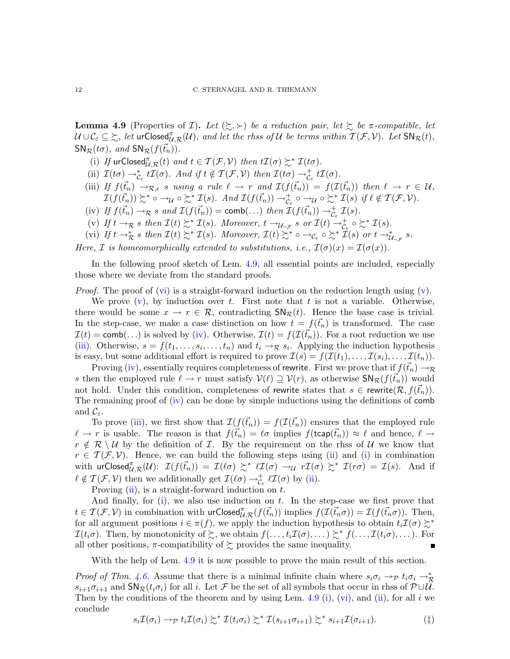<span id="page-11-0"></span>**Lemma 4.9** (Properties of *I*). Let  $(\succsim, \succ)$  be a reduction pair, let  $\succsim$  be  $\pi$ -compatible, let  $\mathcal{U} \cup \mathcal{C}_{\varepsilon} \subseteq \succsim$ , let  $\mathsf{urClosed}_{\mathcal{U},\mathcal{R}}^{\pi}(\mathcal{U})$ , and let the rhss of  $\mathcal U$  be terms within  $\mathcal T(\mathcal F,\mathcal V)$ . Let  $\mathsf{SN}_{\mathcal{R}}(t)$ ,  $SN_{\mathcal{R}}(t\sigma)$ *, and*  $SN_{\mathcal{R}}(f(\vec{t}_n))$ *.* 

- <span id="page-11-6"></span><span id="page-11-5"></span>(i) If  $\text{urClosed}_{\mathcal{U},\mathcal{R}}^{\pi}(t)$  *and*  $t \in \mathcal{T}(\mathcal{F},\mathcal{V})$  *then*  $t\mathcal{I}(\sigma) \succsim^* \mathcal{I}(t\sigma)$ *.*
- <span id="page-11-4"></span>(ii)  $\mathcal{I}(t\sigma) \to_{\mathcal{C}_{\varepsilon}}^* t\mathcal{I}(\sigma)$ *. And if*  $t \notin \mathcal{I}(\mathcal{F}, \mathcal{V})$  then  $\mathcal{I}(t\sigma) \to_{\mathcal{C}_{\varepsilon}}^+ t\mathcal{I}(\sigma)$ *.*
- (iii) If  $f(\vec{t}_n) \to_{\mathcal{R},\epsilon} s$  *using a rule*  $\ell \to r$  *and*  $\mathcal{I}(f(\vec{t}_n)) = f(\mathcal{I}(\vec{t}_n))$  *then*  $\ell \to r \in \mathcal{U}$ ,  $\mathcal{I}(f(\vec{t}_n)) \succsim^* \circ \rightarrow_{\mathcal{U}} \circ \succsim^* \mathcal{I}(s)$ *. And*  $\mathcal{I}(f(\vec{t}_n)) \rightarrow_{\mathcal{C}_{\varepsilon}}^* \circ \rightarrow_{\mathcal{U}} \circ \succsim^* \mathcal{I}(s)$  if  $\ell \notin \mathcal{T}(\mathcal{F}, \mathcal{V})$ *.*
- <span id="page-11-3"></span><span id="page-11-2"></span>(iv) If  $f(\vec{t}_n) \to_R s$  and  $\mathcal{I}(f(\vec{t}_n)) = \text{comb}(\ldots)$  then  $\mathcal{I}(f(\vec{t}_n)) \to_{\mathcal{C}_{\varepsilon}}^+ \mathcal{I}(s)$ .
- <span id="page-11-1"></span>(v) If  $t \to \mathcal{R}$  s then  $\mathcal{I}(t) \succsim^* \mathcal{I}(s)$ . Moreover,  $t \to_{\mathcal{U}_{-\mathcal{F}}} s$  or  $\mathcal{I}(t) \to_{\mathcal{C}_{\varepsilon}}^+ \circ \succsim^* \mathcal{I}(s)$ .
- (vi) If  $t \to_{\mathcal{R}}^* s$  then  $\mathcal{I}(t) \succsim^* \mathcal{I}(s)$ . Moreover,  $\mathcal{I}(t) \succsim^* \circ \to_{\mathcal{C}_\varepsilon} \circ \succsim^* \mathcal{I}(s)$  or  $t \to_{\mathcal{U}_{\neg \mathcal{F}}}^* s$ .

*Here,*  $\mathcal I$  *is homeomorphically extended to substitutions, i.e.,*  $\mathcal I(\sigma)(x) = \mathcal I(\sigma(x))$ *.* 

In the following proof sketch of Lem. [4.9,](#page-11-0) all essential points are included, especially those where we deviate from the standard proofs.

*Proof.* The proof of [\(vi\)](#page-11-1) is a straight-forward induction on the reduction length using  $(v)$ .

We prove  $(v)$ , by induction over t. First note that t is not a variable. Otherwise, there would be some  $x \to r \in \mathcal{R}$ , contradicting  $\mathsf{SN}_{\mathcal{R}}(t)$ . Hence the base case is trivial. In the step-case, we make a case distinction on how  $t = f(\vec{t}_n)$  is transformed. The case  $\mathcal{I}(t) = \text{comb}(\ldots)$  is solved by [\(iv\)](#page-11-3). Otherwise,  $\mathcal{I}(t) = f(\mathcal{I}(\vec{t}_n))$ . For a root reduction we use [\(iii\)](#page-11-4). Otherwise,  $s = f(t_1, \ldots, s_i, \ldots, t_n)$  and  $t_i \rightarrow \mathcal{R} s_i$ . Applying the induction hypothesis is easy, but some additional effort is required to prove  $\mathcal{I}(s) = f(\mathcal{I}(t_1), \ldots, \mathcal{I}(s_i), \ldots, \mathcal{I}(t_n)).$ 

Proving [\(iv\)](#page-11-3), essentially requires completeness of rewrite. First we prove that if  $f(\vec{t}_n) \rightarrow_R$ s then the employed rule  $\ell \to r$  must satisfy  $V(\ell) \supseteq V(r)$ , as otherwise  $\mathsf{SN}_{\mathcal{R}}(f(\vec{t}_n))$  would not hold. Under this condition, completeness of rewrite states that  $s \in \text{rewrite}(\mathcal{R}, f(\vec{t}_n))$ . The remaining proof of [\(iv\)](#page-11-3) can be done by simple inductions using the definitions of comb and  $\mathcal{C}_{\varepsilon}$ .

To prove [\(iii\)](#page-11-4), we first show that  $\mathcal{I}(f(\vec{t}_n)) = f(\mathcal{I}(\vec{t}_n))$  ensures that the employed rule  $\ell \to r$  is usable. The reason is that  $f(\vec{t}_n) = \ell \sigma$  implies  $f(\mathsf{tcap}(\vec{t}_n)) \approx \ell$  and hence,  $\ell \to$  $r \notin \mathcal{R} \setminus \mathcal{U}$  by the definition of  $\mathcal{I}$ . By the requirement on the rhss of  $\mathcal{U}$  we know that  $r \in \mathcal{T}(\mathcal{F}, \mathcal{V})$ . Hence, we can build the following steps using [\(ii\)](#page-11-5) and [\(i\)](#page-11-6) in combination with  $\operatorname{\sf urClosed}^{\pi}_{\mathcal{U},\mathcal{R}}(\mathcal{U})$ :  $\mathcal{I}(f(\vec{t}_n)) = \mathcal{I}(\ell\sigma) \succsim^* \ell \mathcal{I}(\sigma) \rightarrow_{\mathcal{U}} r\mathcal{I}(\sigma) \succsim^* \mathcal{I}(r\sigma) = \mathcal{I}(s)$ . And if  $\ell \notin \mathcal{T}(\mathcal{F}, \mathcal{V})$  then we additionally get  $\mathcal{I}(\ell \sigma) \to_{\mathcal{C}_{\varepsilon}}^{\dagger} \ell \mathcal{I}(\sigma)$  by [\(ii\)](#page-11-5).

Proving  $(ii)$ , is a straight-forward induction on t.

And finally, for  $(i)$ , we also use induction on t. In the step-case we first prove that  $t \in \mathcal{T}(\mathcal{F}, \mathcal{V})$  in combination with  $\mathsf{urClosed}_{\mathcal{U},\mathcal{R}}^{\pi}(f(\vec{t}_n))$  implies  $f(\mathcal{I}(\vec{t}_n\sigma)) = \mathcal{I}(f(\vec{t}_n\sigma))$ . Then, for all argument positions  $i \in \pi(f)$ , we apply the induction hypothesis to obtain  $t_i \mathcal{I}(\sigma) \succsim^*$  $\mathcal{I}(t_i\sigma)$ . Then, by monotonicity of  $\succsim$ , we obtain  $f(\ldots,t_i\mathcal{I}(\sigma),\ldots)\succsim^* f(\ldots,\mathcal{I}(t_i\sigma),\ldots)$ . For all other positions,  $\pi$ -compatibility of  $\succsim$  provides the same inequality. п

With the help of Lem. [4.9](#page-11-0) it is now possible to prove the main result of this section.

*Proof of Thm.* [4.6.](#page-8-0) Assume that there is a minimal infinite chain where  $s_i \sigma_i \to p t_i \sigma_i \to \pi$  $s_{i+1}\sigma_{i+1}$  and  $\mathsf{SN}_{\mathcal{R}}(t_i\sigma_i)$  for all i. Let F be the set of all symbols that occur in rhss of  $\mathcal{P}\cup\mathcal{U}$ . Then by the conditions of the theorem and by using Lem. [4.9](#page-11-0) [\(i\)](#page-11-6), [\(vi\)](#page-11-1), and [\(ii\)](#page-11-5), for all i we conclude

<span id="page-11-7"></span>
$$
s_i \mathcal{I}(\sigma_i) \to_{\mathcal{P}} t_i \mathcal{I}(\sigma_i) \succsim^* \mathcal{I}(t_i \sigma_i) \succsim^* \mathcal{I}(s_{i+1} \sigma_{i+1}) \succsim^* s_{i+1} \mathcal{I}(\sigma_{i+1}). \tag{\ddagger}
$$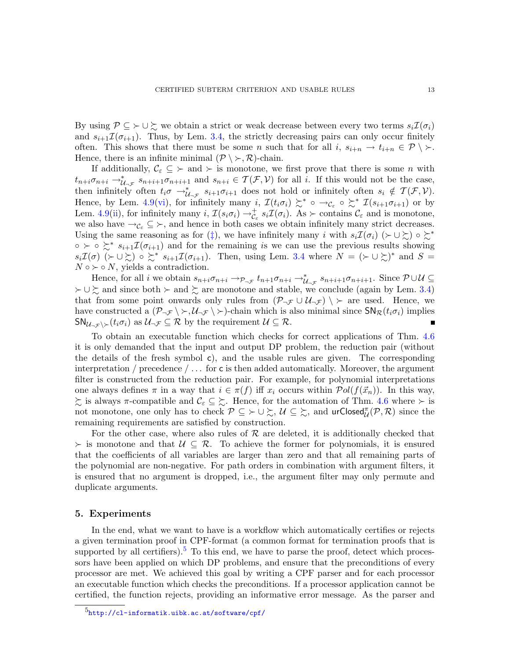By using  $P \subseteq \rightarrow \cup \sum$  we obtain a strict or weak decrease between every two terms  $s_i \mathcal{I}(\sigma_i)$ and  $s_{i+1}\mathcal{I}(\sigma_{i+1})$ . Thus, by Lem. [3.4,](#page-4-5) the strictly decreasing pairs can only occur finitely often. This shows that there must be some n such that for all i,  $s_{i+n} \to t_{i+n} \in \mathcal{P} \setminus \mathcal{F}$ . Hence, there is an infinite minimal  $(\mathcal{P} \setminus \succ, \mathcal{R})$ -chain.

If additionally,  $\mathcal{C}_{\varepsilon} \subseteq \vucceq$  and  $\vucceq$  is monotone, we first prove that there is some *n* with  $t_{n+i}\sigma_{n+i} \to_{\mathcal{U}_{\neg \mathcal{F}}}^* s_{n+i+1}\sigma_{n+i+1}$  and  $s_{n+i} \in \mathcal{T}(\mathcal{F},\mathcal{V})$  for all i. If this would not be the case, then infinitely often  $t_i\sigma \to_{\mathcal{U}_{\neg \mathcal{F}}}^* s_{i+1}\sigma_{i+1}$  does not hold or infinitely often  $s_i \notin \mathcal{T}(\mathcal{F}, \mathcal{V})$ . Hence, by Lem. [4.9](#page-11-0)[\(vi\)](#page-11-1), for infinitely many i,  $\mathcal{I}(t_i \sigma_i) \succeq^* \circ \rightarrow_{\mathcal{C}_{\varepsilon}} \circ \succeq^* \mathcal{I}(s_{i+1} \sigma_{i+1})$  or by Lem. [4.9\(](#page-11-0)[ii\)](#page-11-5), for infinitely many  $i$ ,  $\mathcal{I}(s_i\sigma_i) \to_{\mathcal{C}_{\varepsilon}}^+ s_i \mathcal{I}(\sigma_i)$ . As  $\succ$  contains  $\mathcal{C}_{\varepsilon}$  and is monotone, we also have  $\rightarrow_{\mathcal{C}_{\varepsilon}} \subseteq \rightarrow$ , and hence in both cases we obtain infinitely many strict decreases. Using the same reasoning as for ([‡](#page-11-7)), we have infinitely many i with  $s_i\mathcal{I}(\sigma_i)$  ( $\succ \cup \succsim$ ) ∘  $\succsim^*$  $\circ \succ \circ \succcurlyeq^* s_{i+1} \mathcal{I}(\sigma_{i+1})$  and for the remaining is we can use the previous results showing  $s_i\mathcal{I}(\sigma) \ (\succ \cup \succsim) \circ \succsim^* s_{i+1}\mathcal{I}(\sigma_{i+1}).$  Then, using Lem. [3.4](#page-4-5) where  $N = (\succ \cup \succsim)^*$  and  $S =$  $N \circ \succ \circ N$ , yields a contradiction.

Hence, for all i we obtain  $s_{n+i}\sigma_{n+i} \to_{\mathcal{P}_{\neg \mathcal{F}}} t_{n+1}\sigma_{n+i} \to_{\mathcal{U}_{\neg \mathcal{F}}} s_{n+i+1}\sigma_{n+i+1}$ . Since  $\mathcal{P} \cup \mathcal{U} \subseteq$  $\succ \cup \succsim$  and since both  $\succ$  and  $\succsim$  are monotone and stable, we conclude (again by Lem. [3.4\)](#page-4-5) that from some point onwards only rules from  $(\mathcal{P}_{\neg \mathcal{F}} \cup \mathcal{U}_{\neg \mathcal{F}}) \setminus \succ$  are used. Hence, we have constructed a  $(\mathcal{P}_{\neg \mathcal{F}} \setminus \rightarrow \mathcal{U}_{\neg \mathcal{F}} \setminus \rightarrow)$ -chain which is also minimal since  $\mathsf{SN}_{\mathcal{R}}(t_i \sigma_i)$  implies  $\mathsf{SN}_{\mathcal{U}_{\neg \mathcal{F}} \setminus \succ}(t_i \sigma_i)$  as  $\mathcal{U}_{\neg \mathcal{F}} \subseteq \mathcal{R}$  by the requirement  $\mathcal{U} \subseteq \mathcal{R}$ .

To obtain an executable function which checks for correct applications of Thm. [4.6](#page-8-0) it is only demanded that the input and output DP problem, the reduction pair (without the details of the fresh symbol  $c$ ), and the usable rules are given. The corresponding interpretation / precedence  $/\ldots$  for c is then added automatically. Moreover, the argument filter is constructed from the reduction pair. For example, for polynomial interpretations one always defines  $\pi$  in a way that  $i \in \pi(f)$  iff  $x_i$  occurs within  $\mathcal{P}ol(f(\vec{x}_n))$ . In this way,  $\zeta$  is always  $\pi$ -compatible and  $\mathcal{C}_{\varepsilon} \subseteq \zeta$ . Hence, for the automation of Thm. [4.6](#page-8-0) where ≻ is not monotone, one only has to check  $\mathcal{P} \subseteq \succ \cup \succsim$ ,  $\mathcal{U} \subseteq \succsim$ , and urClosed $^{\pi}_{\mathcal{U}}(\mathcal{P}, \mathcal{R})$  since the remaining requirements are satisfied by construction.

For the other case, where also rules of  $R$  are deleted, it is additionally checked that  $\succ$  is monotone and that  $U \subseteq \mathcal{R}$ . To achieve the former for polynomials, it is ensured that the coefficients of all variables are larger than zero and that all remaining parts of the polynomial are non-negative. For path orders in combination with argument filters, it is ensured that no argument is dropped, i.e., the argument filter may only permute and duplicate arguments.

### <span id="page-12-0"></span>5. Experiments

In the end, what we want to have is a workflow which automatically certifies or rejects a given termination proof in CPF-format (a common format for termination proofs that is supported by all certifiers).<sup>[5](#page-12-1)</sup> To this end, we have to parse the proof, detect which processors have been applied on which DP problems, and ensure that the preconditions of every processor are met. We achieved this goal by writing a CPF parser and for each processor an executable function which checks the preconditions. If a processor application cannot be certified, the function rejects, providing an informative error message. As the parser and

<span id="page-12-1"></span><sup>5</sup><http://cl-informatik.uibk.ac.at/software/cpf/>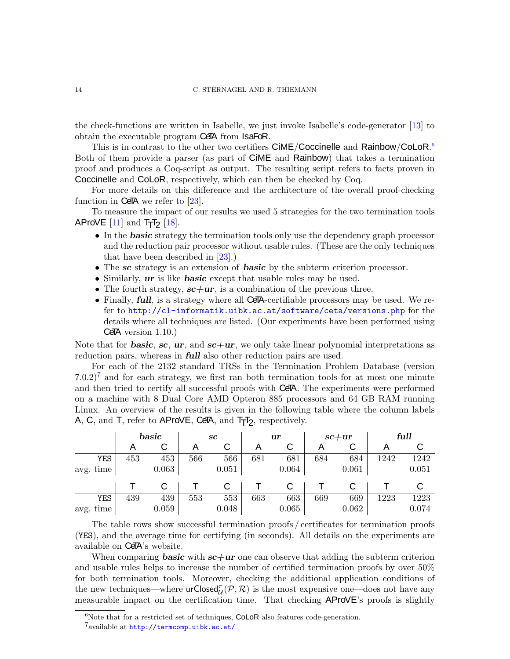### 14 C. STERNAGEL AND R. THIEMANN

the check-functions are written in Isabelle, we just invoke Isabelle's code-generator [\[13\]](#page-15-21) to obtain the executable program CeTA from IsaFoR.

This is in contrast to the other two certifiers CIME/Coccinelle and Rainbow/CoLoR.<sup>[6](#page-13-0)</sup> Both of them provide a parser (as part of CiME and Rainbow) that takes a termination proof and produces a Coq-script as output. The resulting script refers to facts proven in Coccinelle and CoLoR, respectively, which can then be checked by Coq.

For more details on this difference and the architecture of the overall proof-checking function in CeTA we refer to  $[23]$ .

To measure the impact of our results we used 5 strategies for the two termination tools AProVE  $[11]$  and  $T_{\text{T}}T_{\text{2}}$   $[18]$ .

- In the **basic** strategy the termination tools only use the dependency graph processor and the reduction pair processor without usable rules. (These are the only techniques that have been described in [\[23\]](#page-15-3).)
- The sc strategy is an extension of **basic** by the subterm criterion processor.
- Similarly, **ur** is like **basic** except that usable rules may be used.
- The fourth strategy,  $sc+ur$ , is a combination of the previous three.
- Finally, full, is a strategy where all CeTA-certifiable processors may be used. We refer to <http://cl-informatik.uibk.ac.at/software/ceta/versions.php> for the details where all techniques are listed. (Our experiments have been performed using  $CeTA$  version  $1.10$ .)

Note that for **basic**, sc, ur, and  $sc+ur$ , we only take linear polynomial interpretations as reduction pairs, whereas in **full** also other reduction pairs are used.

For each of the 2132 standard TRSs in the Termination Problem Database (version  $(7.0.2)^7$  $(7.0.2)^7$  $(7.0.2)^7$  and for each strategy, we first ran both termination tools for at most one minute and then tried to certify all successful proofs with CeTA. The experiments were performed on a machine with 8 Dual Core AMD Opteron 885 processors and 64 GB RAM running Linux. An overview of the results is given in the following table where the column labels  $A, C, \text{ and } T, \text{ refer to } AProVE, \text{CeFA}, \text{ and } T<sub>T</sub>T<sub>2</sub>, \text{ respectively.}$ 

|           | basic |       | $\bm{sc}$ |       | ur  |       | $sc+ur$ |       | full |       |
|-----------|-------|-------|-----------|-------|-----|-------|---------|-------|------|-------|
|           |       | ັ     |           | С     | А   | С     |         | С     |      |       |
| YES       | 453   | 453   | 566       | 566   | 681 | 681   | 684     | 684   | 1242 | 1242  |
| avg. time |       | 0.063 |           | 0.051 |     | 0.064 |         | 0.061 |      | 0.051 |
|           |       |       |           |       |     |       |         |       |      |       |
| YES       | 439   | 439   | 553       | 553   | 663 | 663   | 669     | 669   | 1223 | 1223  |
| avg. time |       | 0.059 |           | 0.048 |     | 0.065 |         | 0.062 |      | 0.074 |

The table rows show successful termination proofs / certificates for termination proofs (YES), and the average time for certifying (in seconds). All details on the experiments are available on CeTA's website.

When comparing **basic** with  $sc+ur$  one can observe that adding the subterm criterion and usable rules helps to increase the number of certified termination proofs by over 50% for both termination tools. Moreover, checking the additional application conditions of the new techniques—where  $\text{urClosed}_{\mathcal{U}}^{\pi}(\mathcal{P}, \mathcal{R})$  is the most expensive one—does not have any measurable impact on the certification time. That checking AProVE's proofs is slightly

 $6$ Note that for a restricted set of techniques, CoLoR also features code-generation.

<span id="page-13-1"></span><span id="page-13-0"></span><sup>&</sup>lt;sup>7</sup>available at <http://termcomp.uibk.ac.at/>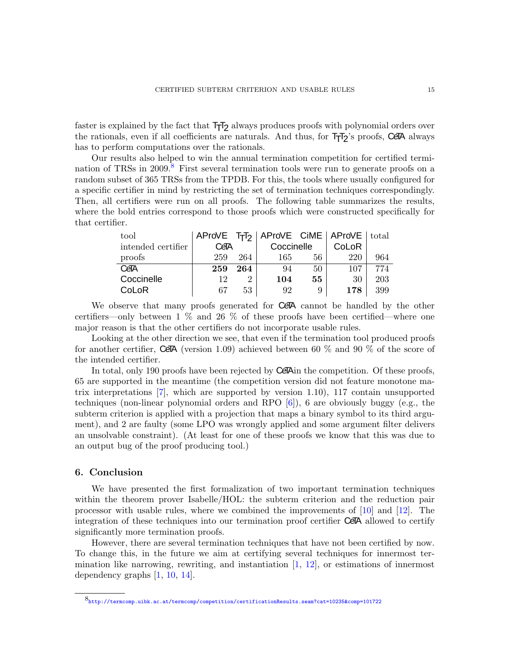faster is explained by the fact that  $T_{T}T_{2}$  always produces proofs with polynomial orders over the rationals, even if all coefficients are naturals. And thus, for  $T_{T}T_{2}$ 's proofs, CeTA always has to perform computations over the rationals.

Our results also helped to win the annual termination competition for certified termi-nation of TRSs in 2009.<sup>[8](#page-14-1)</sup> First several termination tools were run to generate proofs on a random subset of 365 TRSs from the TPDB. For this, the tools where usually configured for a specific certifier in mind by restricting the set of termination techniques correspondingly. Then, all certifiers were run on all proofs. The following table summarizes the results, where the bold entries correspond to those proofs which were constructed specifically for that certifier.

| tool               |      |     | AProVE TTT <sub>2</sub>   AProVE CIME   AProVE   total |    |       |     |
|--------------------|------|-----|--------------------------------------------------------|----|-------|-----|
| intended certifier | CeTA |     | Coccinelle                                             |    | CoLoR |     |
| proofs             | 259  | 264 | 165                                                    | 56 | 220   | 964 |
| CeTA               | 259  | 264 | 94                                                     | 50 | 107   | 774 |
| Coccinelle         | 19   | 2   | 104                                                    | 55 | 30    | 203 |
| CoLoR              | 67   | 53  | 92                                                     | 9  | 178   | 399 |

We observe that many proofs generated for CeTA cannot be handled by the other certifiers—only between 1 % and 26 % of these proofs have been certified—where one major reason is that the other certifiers do not incorporate usable rules.

Looking at the other direction we see, that even if the termination tool produced proofs for another certifier, CeTA (version 1.09) achieved between 60  $\%$  and 90  $\%$  of the score of the intended certifier.

In total, only 190 proofs have been rejected by CeTA in the competition. Of these proofs, 65 are supported in the meantime (the competition version did not feature monotone matrix interpretations [\[7\]](#page-15-17), which are supported by version 1.10), 117 contain unsupported techniques (non-linear polynomial orders and RPO [\[6\]](#page-15-24)), 6 are obviously buggy (e.g., the subterm criterion is applied with a projection that maps a binary symbol to its third argument), and 2 are faulty (some LPO was wrongly applied and some argument filter delivers an unsolvable constraint). (At least for one of these proofs we know that this was due to an output bug of the proof producing tool.)

### <span id="page-14-0"></span>6. Conclusion

We have presented the first formalization of two important termination techniques within the theorem prover Isabelle/HOL: the subterm criterion and the reduction pair processor with usable rules, where we combined the improvements of [\[10\]](#page-15-9) and [\[12\]](#page-15-5). The integration of these techniques into our termination proof certifier CeTA allowed to certify significantly more termination proofs.

However, there are several termination techniques that have not been certified by now. To change this, in the future we aim at certifying several techniques for innermost termination like narrowing, rewriting, and instantiation  $[1, 12]$  $[1, 12]$ , or estimations of innermost dependency graphs [\[1,](#page-15-12) [10,](#page-15-9) [14\]](#page-15-6).

<span id="page-14-1"></span><sup>8</sup> <http://termcomp.uibk.ac.at/termcomp/competition/certificationResults.seam?cat=10235&comp=101722>